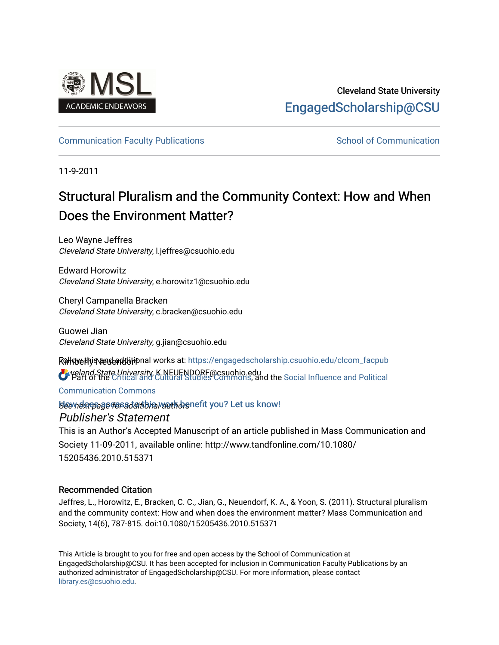

# Cleveland State University [EngagedScholarship@CSU](https://engagedscholarship.csuohio.edu/)

# [Communication Faculty Publications](https://engagedscholarship.csuohio.edu/clcom_facpub) [School of Communication](https://engagedscholarship.csuohio.edu/clcom) School of Communication

11-9-2011

# Structural Pluralism and the Community Context: How and When Does the Environment Matter?

Leo Wayne Jeffres Cleveland State University, l.jeffres@csuohio.edu

Edward Horowitz Cleveland State University, e.horowitz1@csuohio.edu

Cheryl Campanella Bracken Cleveland State University, c.bracken@csuohio.edu

Guowei Jian Cleveland State University, g.jian@csuohio.edu

**kିଜ୍ୟାପ ଏହା ମୁଦ୍ର ସେଠାରୁ Romal Sciptional works at: https://engagedscholarship.csuohio.edu/clcom\_facpub C** veland State University, K.NEUENDORF@csuohio.edu<br>C Part of the [Critical and Cultural Studies Commons](http://network.bepress.com/hgg/discipline/328?utm_source=engagedscholarship.csuohio.edu%2Fclcom_facpub%2F10&utm_medium=PDF&utm_campaign=PDFCoverPages), and the [Social Influence and Political](http://network.bepress.com/hgg/discipline/337?utm_source=engagedscholarship.csuohio.edu%2Fclcom_facpub%2F10&utm_medium=PDF&utm_campaign=PDFCoverPages)

[Communication Commons](http://network.bepress.com/hgg/discipline/337?utm_source=engagedscholarship.csuohio.edu%2Fclcom_facpub%2F10&utm_medium=PDF&utm_campaign=PDFCoverPages)

ร่อองหย่*ตรุ*กออติซอรลออสเป้าหลางอะไรออกอย์ you? Let us know! Publisher's Statement This is an Author's Accepted Manuscript of an article published in Mass Communication and Society 11-09-2011, available online: http://www.tandfonline.com/10.1080/

15205436.2010.515371

# Recommended Citation

Jeffres, L., Horowitz, E., Bracken, C. C., Jian, G., Neuendorf, K. A., & Yoon, S. (2011). Structural pluralism and the community context: How and when does the environment matter? Mass Communication and Society, 14(6), 787-815. doi:10.1080/15205436.2010.515371

This Article is brought to you for free and open access by the School of Communication at EngagedScholarship@CSU. It has been accepted for inclusion in Communication Faculty Publications by an authorized administrator of EngagedScholarship@CSU. For more information, please contact [library.es@csuohio.edu.](mailto:library.es@csuohio.edu)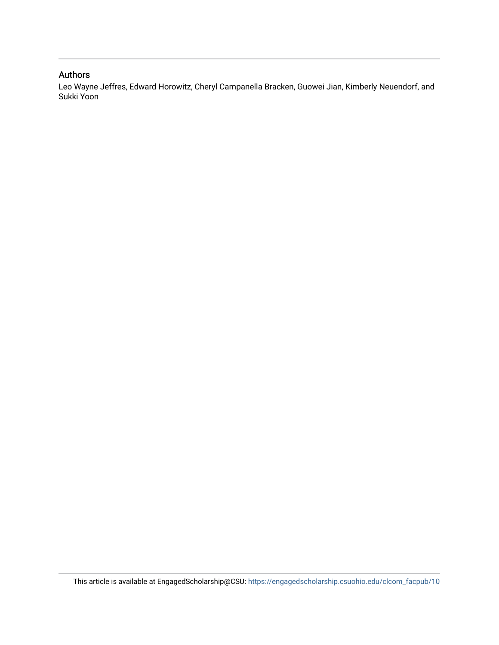# Authors

Leo Wayne Jeffres, Edward Horowitz, Cheryl Campanella Bracken, Guowei Jian, Kimberly Neuendorf, and Sukki Yoon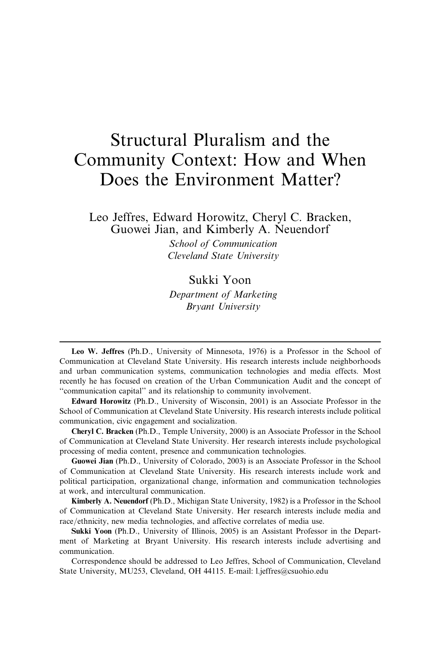# Structural Pluralism and the Community Context: How and When Does the Environment Matter?

Leo Jeffres, Edward Horowitz, Cheryl C. Bracken, Guowei Jian, and Kimberly A. Neuendorf

> School of Communication Cleveland State University

# Sukki Yoon

Department of Marketing Bryant University

Leo W. Jeffres (Ph.D., University of Minnesota, 1976) is a Professor in the School of Communication at Cleveland State University. His research interests include neighborhoods and urban communication systems, communication technologies and media effects. Most recently he has focused on creation of the Urban Communication Audit and the concept of ''communication capital'' and its relationship to community involvement.

Edward Horowitz (Ph.D., University of Wisconsin, 2001) is an Associate Professor in the School of Communication at Cleveland State University. His research interests include political communication, civic engagement and socialization.

Cheryl C. Bracken (Ph.D., Temple University, 2000) is an Associate Professor in the School of Communication at Cleveland State University. Her research interests include psychological processing of media content, presence and communication technologies.

Guowei Jian (Ph.D., University of Colorado, 2003) is an Associate Professor in the School of Communication at Cleveland State University. His research interests include work and political participation, organizational change, information and communication technologies at work, and intercultural communication.

Kimberly A. Neuendorf (Ph.D., Michigan State University, 1982) is a Professor in the School of Communication at Cleveland State University. Her research interests include media and race/ethnicity, new media technologies, and affective correlates of media use.

Sukki Yoon (Ph.D., University of Illinois, 2005) is an Assistant Professor in the Department of Marketing at Bryant University. His research interests include advertising and communication.

Correspondence should be addressed to Leo Jeffres, School of Communication, Cleveland State University, MU253, Cleveland, OH 44115. E-mail: l.jeffres@csuohio.edu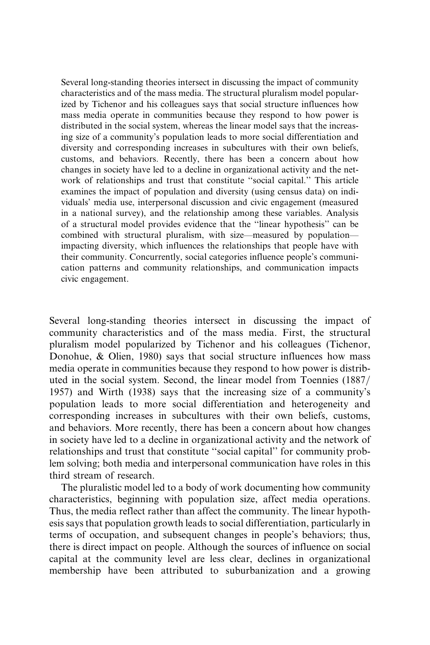Several long-standing theories intersect in discussing the impact of community characteristics and of the mass media. The structural pluralism model popularized by Tichenor and his colleagues says that social structure influences how mass media operate in communities because they respond to how power is distributed in the social system, whereas the linear model says that the increasing size of a community's population leads to more social differentiation and diversity and corresponding increases in subcultures with their own beliefs, customs, and behaviors. Recently, there has been a concern about how changes in society have led to a decline in organizational activity and the network of relationships and trust that constitute ''social capital.'' This article examines the impact of population and diversity (using census data) on individuals' media use, interpersonal discussion and civic engagement (measured in a national survey), and the relationship among these variables. Analysis of a structural model provides evidence that the ''linear hypothesis'' can be combined with structural pluralism, with size—measured by population impacting diversity, which influences the relationships that people have with their community. Concurrently, social categories influence people's communication patterns and community relationships, and communication impacts civic engagement.

Several long-standing theories intersect in discussing the impact of community characteristics and of the mass media. First, the structural pluralism model popularized by Tichenor and his colleagues (Tichenor, Donohue, & Olien, 1980) says that social structure influences how mass media operate in communities because they respond to how power is distributed in the social system. Second, the linear model from Toennies (1887/ 1957) and Wirth (1938) says that the increasing size of a community's population leads to more social differentiation and heterogeneity and corresponding increases in subcultures with their own beliefs, customs, and behaviors. More recently, there has been a concern about how changes in society have led to a decline in organizational activity and the network of relationships and trust that constitute ''social capital'' for community problem solving; both media and interpersonal communication have roles in this third stream of research.

The pluralistic model led to a body of work documenting how community characteristics, beginning with population size, affect media operations. Thus, the media reflect rather than affect the community. The linear hypothesis says that population growth leads to social differentiation, particularly in terms of occupation, and subsequent changes in people's behaviors; thus, there is direct impact on people. Although the sources of influence on social capital at the community level are less clear, declines in organizational membership have been attributed to suburbanization and a growing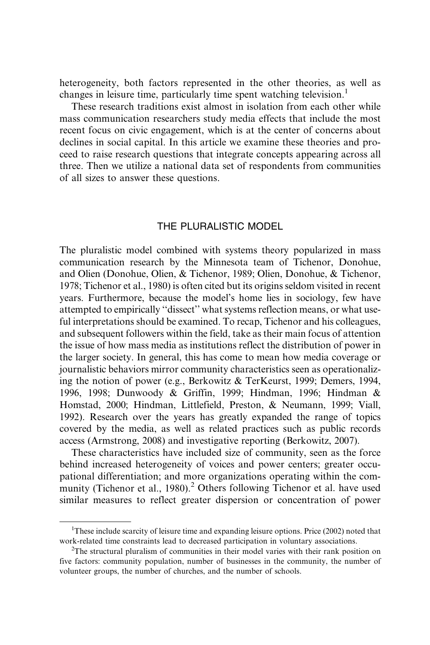heterogeneity, both factors represented in the other theories, as well as changes in leisure time, particularly time spent watching television.<sup>1</sup>

These research traditions exist almost in isolation from each other while mass communication researchers study media effects that include the most recent focus on civic engagement, which is at the center of concerns about declines in social capital. In this article we examine these theories and proceed to raise research questions that integrate concepts appearing across all three. Then we utilize a national data set of respondents from communities of all sizes to answer these questions.

#### THE PLURALISTIC MODEL

The pluralistic model combined with systems theory popularized in mass communication research by the Minnesota team of Tichenor, Donohue, and Olien (Donohue, Olien, & Tichenor, 1989; Olien, Donohue, & Tichenor, 1978; Tichenor et al., 1980) is often cited but its origins seldom visited in recent years. Furthermore, because the model's home lies in sociology, few have attempted to empirically ''dissect'' what systems reflection means, or what useful interpretations should be examined. To recap, Tichenor and his colleagues, and subsequent followers within the field, take as their main focus of attention the issue of how mass media as institutions reflect the distribution of power in the larger society. In general, this has come to mean how media coverage or journalistic behaviors mirror community characteristics seen as operationalizing the notion of power (e.g., Berkowitz & TerKeurst, 1999; Demers, 1994, 1996, 1998; Dunwoody & Griffin, 1999; Hindman, 1996; Hindman & Homstad, 2000; Hindman, Littlefield, Preston, & Neumann, 1999; Viall, 1992). Research over the years has greatly expanded the range of topics covered by the media, as well as related practices such as public records access (Armstrong, 2008) and investigative reporting (Berkowitz, 2007).

These characteristics have included size of community, seen as the force behind increased heterogeneity of voices and power centers; greater occupational differentiation; and more organizations operating within the community (Tichenor et al., 1980).<sup>2</sup> Others following Tichenor et al. have used similar measures to reflect greater dispersion or concentration of power

<sup>&</sup>lt;sup>1</sup>These include scarcity of leisure time and expanding leisure options. Price (2002) noted that work-related time constraints lead to decreased participation in voluntary associations.

<sup>&</sup>lt;sup>2</sup>The structural pluralism of communities in their model varies with their rank position on five factors: community population, number of businesses in the community, the number of volunteer groups, the number of churches, and the number of schools.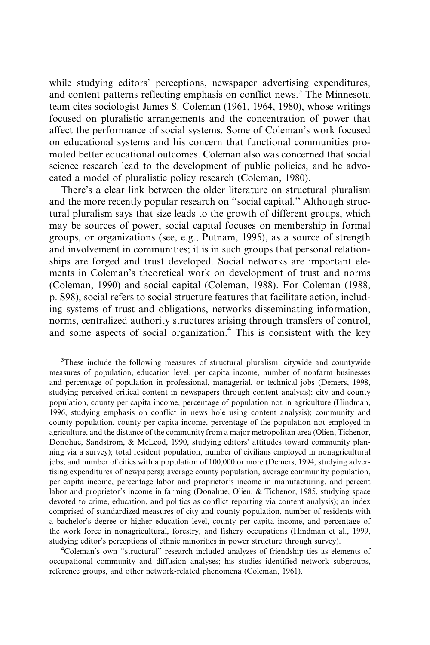while studying editors' perceptions, newspaper advertising expenditures, and content patterns reflecting emphasis on conflict news.<sup>3</sup> The Minnesota team cites sociologist James S. Coleman (1961, 1964, 1980), whose writings focused on pluralistic arrangements and the concentration of power that affect the performance of social systems. Some of Coleman's work focused on educational systems and his concern that functional communities promoted better educational outcomes. Coleman also was concerned that social science research lead to the development of public policies, and he advocated a model of pluralistic policy research (Coleman, 1980).

There's a clear link between the older literature on structural pluralism and the more recently popular research on ''social capital.'' Although structural pluralism says that size leads to the growth of different groups, which may be sources of power, social capital focuses on membership in formal groups, or organizations (see, e.g., Putnam, 1995), as a source of strength and involvement in communities; it is in such groups that personal relationships are forged and trust developed. Social networks are important elements in Coleman's theoretical work on development of trust and norms (Coleman, 1990) and social capital (Coleman, 1988). For Coleman (1988, p. S98), social refers to social structure features that facilitate action, including systems of trust and obligations, networks disseminating information, norms, centralized authority structures arising through transfers of control, and some aspects of social organization.<sup>4</sup> This is consistent with the key

<sup>&</sup>lt;sup>3</sup>These include the following measures of structural pluralism: citywide and countywide measures of population, education level, per capita income, number of nonfarm businesses and percentage of population in professional, managerial, or technical jobs (Demers, 1998, studying perceived critical content in newspapers through content analysis); city and county population, county per capita income, percentage of population not in agriculture (Hindman, 1996, studying emphasis on conflict in news hole using content analysis); community and county population, county per capita income, percentage of the population not employed in agriculture, and the distance of the community from a major metropolitan area (Olien, Tichenor, Donohue, Sandstrom, & McLeod, 1990, studying editors' attitudes toward community planning via a survey); total resident population, number of civilians employed in nonagricultural jobs, and number of cities with a population of 100,000 or more (Demers, 1994, studying advertising expenditures of newpapers); average county population, average community population, per capita income, percentage labor and proprietor's income in manufacturing, and percent labor and proprietor's income in farming (Donahue, Olien, & Tichenor, 1985, studying space devoted to crime, education, and politics as conflict reporting via content analysis); an index comprised of standardized measures of city and county population, number of residents with a bachelor's degree or higher education level, county per capita income, and percentage of the work force in nonagricultural, forestry, and fishery occupations (Hindman et al., 1999, studying editor's perceptions of ethnic minorities in power structure through survey).

<sup>&</sup>lt;sup>4</sup>Coleman's own "structural" research included analyzes of friendship ties as elements of occupational community and diffusion analyses; his studies identified network subgroups, reference groups, and other network-related phenomena (Coleman, 1961).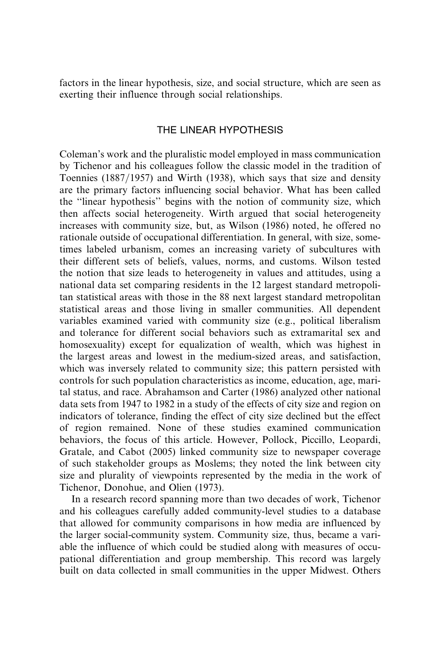factors in the linear hypothesis, size, and social structure, which are seen as exerting their influence through social relationships.

#### THE LINEAR HYPOTHESIS

Coleman's work and the pluralistic model employed in mass communication by Tichenor and his colleagues follow the classic model in the tradition of Toennies  $(1887/1957)$  and Wirth (1938), which says that size and density are the primary factors influencing social behavior. What has been called the ''linear hypothesis'' begins with the notion of community size, which then affects social heterogeneity. Wirth argued that social heterogeneity increases with community size, but, as Wilson (1986) noted, he offered no rationale outside of occupational differentiation. In general, with size, sometimes labeled urbanism, comes an increasing variety of subcultures with their different sets of beliefs, values, norms, and customs. Wilson tested the notion that size leads to heterogeneity in values and attitudes, using a national data set comparing residents in the 12 largest standard metropolitan statistical areas with those in the 88 next largest standard metropolitan statistical areas and those living in smaller communities. All dependent variables examined varied with community size (e.g., political liberalism and tolerance for different social behaviors such as extramarital sex and homosexuality) except for equalization of wealth, which was highest in the largest areas and lowest in the medium-sized areas, and satisfaction, which was inversely related to community size; this pattern persisted with controls for such population characteristics as income, education, age, marital status, and race. Abrahamson and Carter (1986) analyzed other national data sets from 1947 to 1982 in a study of the effects of city size and region on indicators of tolerance, finding the effect of city size declined but the effect of region remained. None of these studies examined communication behaviors, the focus of this article. However, Pollock, Piccillo, Leopardi, Gratale, and Cabot (2005) linked community size to newspaper coverage of such stakeholder groups as Moslems; they noted the link between city size and plurality of viewpoints represented by the media in the work of Tichenor, Donohue, and Olien (1973).

In a research record spanning more than two decades of work, Tichenor and his colleagues carefully added community-level studies to a database that allowed for community comparisons in how media are influenced by the larger social-community system. Community size, thus, became a variable the influence of which could be studied along with measures of occupational differentiation and group membership. This record was largely built on data collected in small communities in the upper Midwest. Others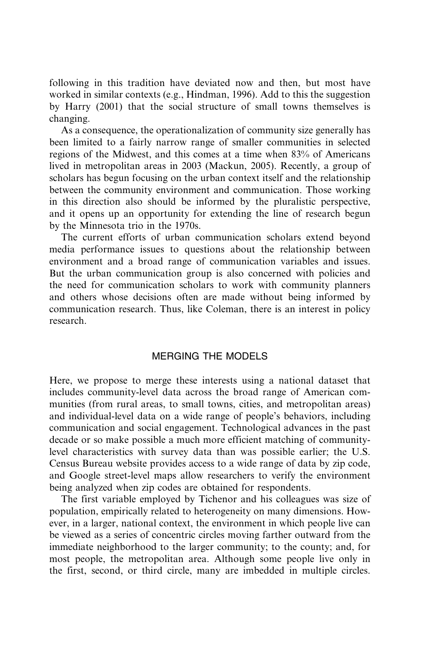following in this tradition have deviated now and then, but most have worked in similar contexts (e.g., Hindman, 1996). Add to this the suggestion by Harry (2001) that the social structure of small towns themselves is changing.

As a consequence, the operationalization of community size generally has been limited to a fairly narrow range of smaller communities in selected regions of the Midwest, and this comes at a time when 83% of Americans lived in metropolitan areas in 2003 (Mackun, 2005). Recently, a group of scholars has begun focusing on the urban context itself and the relationship between the community environment and communication. Those working in this direction also should be informed by the pluralistic perspective, and it opens up an opportunity for extending the line of research begun by the Minnesota trio in the 1970s.

The current efforts of urban communication scholars extend beyond media performance issues to questions about the relationship between environment and a broad range of communication variables and issues. But the urban communication group is also concerned with policies and the need for communication scholars to work with community planners and others whose decisions often are made without being informed by communication research. Thus, like Coleman, there is an interest in policy research.

#### MERGING THE MODELS

Here, we propose to merge these interests using a national dataset that includes community-level data across the broad range of American communities (from rural areas, to small towns, cities, and metropolitan areas) and individual-level data on a wide range of people's behaviors, including communication and social engagement. Technological advances in the past decade or so make possible a much more efficient matching of communitylevel characteristics with survey data than was possible earlier; the U.S. Census Bureau website provides access to a wide range of data by zip code, and Google street-level maps allow researchers to verify the environment being analyzed when zip codes are obtained for respondents.

The first variable employed by Tichenor and his colleagues was size of population, empirically related to heterogeneity on many dimensions. However, in a larger, national context, the environment in which people live can be viewed as a series of concentric circles moving farther outward from the immediate neighborhood to the larger community; to the county; and, for most people, the metropolitan area. Although some people live only in the first, second, or third circle, many are imbedded in multiple circles.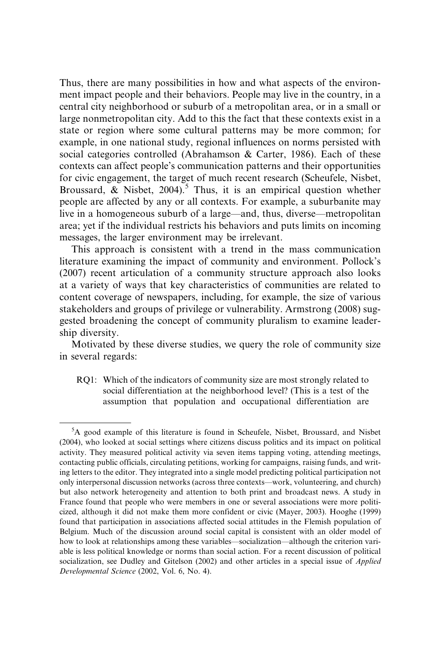Thus, there are many possibilities in how and what aspects of the environment impact people and their behaviors. People may live in the country, in a central city neighborhood or suburb of a metropolitan area, or in a small or large nonmetropolitan city. Add to this the fact that these contexts exist in a state or region where some cultural patterns may be more common; for example, in one national study, regional influences on norms persisted with social categories controlled (Abrahamson & Carter, 1986). Each of these contexts can affect people's communication patterns and their opportunities for civic engagement, the target of much recent research (Scheufele, Nisbet, Broussard,  $\&$  Nisbet, 2004).<sup>5</sup> Thus, it is an empirical question whether people are affected by any or all contexts. For example, a suburbanite may live in a homogeneous suburb of a large—and, thus, diverse—metropolitan area; yet if the individual restricts his behaviors and puts limits on incoming messages, the larger environment may be irrelevant.

This approach is consistent with a trend in the mass communication literature examining the impact of community and environment. Pollock's (2007) recent articulation of a community structure approach also looks at a variety of ways that key characteristics of communities are related to content coverage of newspapers, including, for example, the size of various stakeholders and groups of privilege or vulnerability. Armstrong (2008) suggested broadening the concept of community pluralism to examine leadership diversity.

Motivated by these diverse studies, we query the role of community size in several regards:

RQ1: Which of the indicators of community size are most strongly related to social differentiation at the neighborhood level? (This is a test of the assumption that population and occupational differentiation are

<sup>&</sup>lt;sup>5</sup>A good example of this literature is found in Scheufele, Nisbet, Broussard, and Nisbet (2004), who looked at social settings where citizens discuss politics and its impact on political activity. They measured political activity via seven items tapping voting, attending meetings, contacting public officials, circulating petitions, working for campaigns, raising funds, and writing letters to the editor. They integrated into a single model predicting political participation not only interpersonal discussion networks (across three contexts—work, volunteering, and church) but also network heterogeneity and attention to both print and broadcast news. A study in France found that people who were members in one or several associations were more politicized, although it did not make them more confident or civic (Mayer, 2003). Hooghe (1999) found that participation in associations affected social attitudes in the Flemish population of Belgium. Much of the discussion around social capital is consistent with an older model of how to look at relationships among these variables—socialization—although the criterion variable is less political knowledge or norms than social action. For a recent discussion of political socialization, see Dudley and Gitelson (2002) and other articles in a special issue of *Applied* Developmental Science (2002, Vol. 6, No. 4).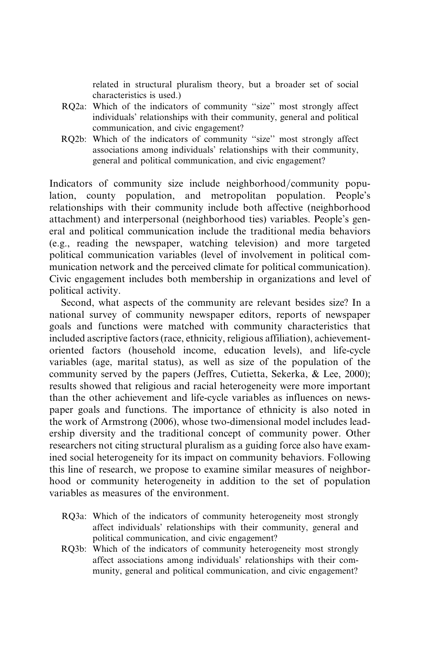related in structural pluralism theory, but a broader set of social characteristics is used.)

- RQ2a: Which of the indicators of community ''size'' most strongly affect individuals' relationships with their community, general and political communication, and civic engagement?
- RQ2b: Which of the indicators of community ''size'' most strongly affect associations among individuals' relationships with their community, general and political communication, and civic engagement?

Indicators of community size include neighborhood/community population, county population, and metropolitan population. People's relationships with their community include both affective (neighborhood attachment) and interpersonal (neighborhood ties) variables. People's general and political communication include the traditional media behaviors (e.g., reading the newspaper, watching television) and more targeted political communication variables (level of involvement in political communication network and the perceived climate for political communication). Civic engagement includes both membership in organizations and level of political activity.

Second, what aspects of the community are relevant besides size? In a national survey of community newspaper editors, reports of newspaper goals and functions were matched with community characteristics that included ascriptive factors (race, ethnicity, religious affiliation), achievementoriented factors (household income, education levels), and life-cycle variables (age, marital status), as well as size of the population of the community served by the papers (Jeffres, Cutietta, Sekerka, & Lee, 2000); results showed that religious and racial heterogeneity were more important than the other achievement and life-cycle variables as influences on newspaper goals and functions. The importance of ethnicity is also noted in the work of Armstrong (2006), whose two-dimensional model includes leadership diversity and the traditional concept of community power. Other researchers not citing structural pluralism as a guiding force also have examined social heterogeneity for its impact on community behaviors. Following this line of research, we propose to examine similar measures of neighborhood or community heterogeneity in addition to the set of population variables as measures of the environment.

- RQ3a: Which of the indicators of community heterogeneity most strongly affect individuals' relationships with their community, general and political communication, and civic engagement?
- RQ3b: Which of the indicators of community heterogeneity most strongly affect associations among individuals' relationships with their community, general and political communication, and civic engagement?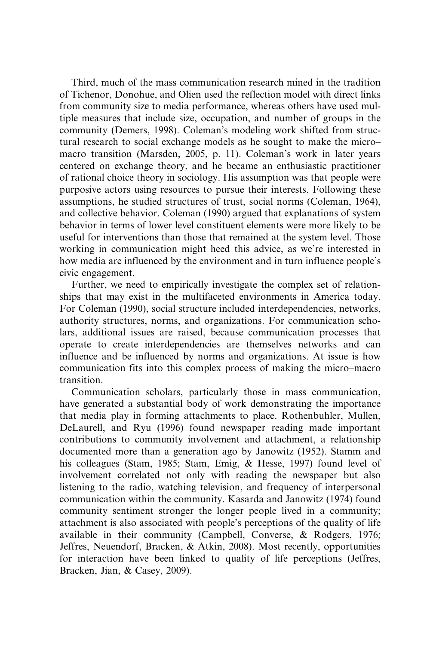Third, much of the mass communication research mined in the tradition of Tichenor, Donohue, and Olien used the reflection model with direct links from community size to media performance, whereas others have used multiple measures that include size, occupation, and number of groups in the community (Demers, 1998). Coleman's modeling work shifted from structural research to social exchange models as he sought to make the micro– macro transition (Marsden, 2005, p. 11). Coleman's work in later years centered on exchange theory, and he became an enthusiastic practitioner of rational choice theory in sociology. His assumption was that people were purposive actors using resources to pursue their interests. Following these assumptions, he studied structures of trust, social norms (Coleman, 1964), and collective behavior. Coleman (1990) argued that explanations of system behavior in terms of lower level constituent elements were more likely to be useful for interventions than those that remained at the system level. Those working in communication might heed this advice, as we're interested in how media are influenced by the environment and in turn influence people's civic engagement.

Further, we need to empirically investigate the complex set of relationships that may exist in the multifaceted environments in America today. For Coleman (1990), social structure included interdependencies, networks, authority structures, norms, and organizations. For communication scholars, additional issues are raised, because communication processes that operate to create interdependencies are themselves networks and can influence and be influenced by norms and organizations. At issue is how communication fits into this complex process of making the micro–macro transition.

Communication scholars, particularly those in mass communication, have generated a substantial body of work demonstrating the importance that media play in forming attachments to place. Rothenbuhler, Mullen, DeLaurell, and Ryu (1996) found newspaper reading made important contributions to community involvement and attachment, a relationship documented more than a generation ago by Janowitz (1952). Stamm and his colleagues (Stam, 1985; Stam, Emig, & Hesse, 1997) found level of involvement correlated not only with reading the newspaper but also listening to the radio, watching television, and frequency of interpersonal communication within the community. Kasarda and Janowitz (1974) found community sentiment stronger the longer people lived in a community; attachment is also associated with people's perceptions of the quality of life available in their community (Campbell, Converse, & Rodgers, 1976; Jeffres, Neuendorf, Bracken, & Atkin, 2008). Most recently, opportunities for interaction have been linked to quality of life perceptions (Jeffres, Bracken, Jian, & Casey, 2009).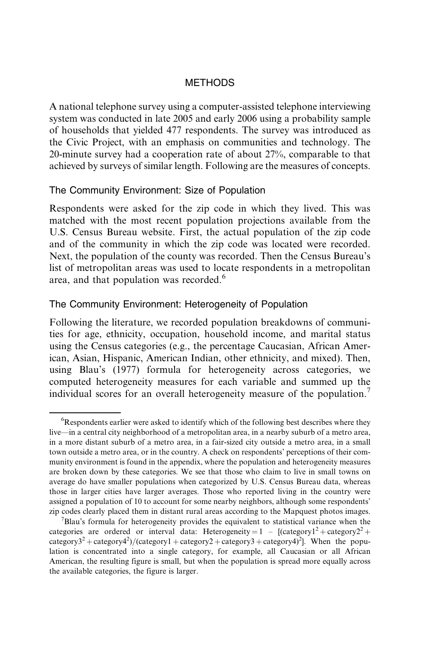#### **METHODS**

A national telephone survey using a computer-assisted telephone interviewing system was conducted in late 2005 and early 2006 using a probability sample of households that yielded 477 respondents. The survey was introduced as the Civic Project, with an emphasis on communities and technology. The 20-minute survey had a cooperation rate of about 27%, comparable to that achieved by surveys of similar length. Following are the measures of concepts.

#### The Community Environment: Size of Population

Respondents were asked for the zip code in which they lived. This was matched with the most recent population projections available from the U.S. Census Bureau website. First, the actual population of the zip code and of the community in which the zip code was located were recorded. Next, the population of the county was recorded. Then the Census Bureau's list of metropolitan areas was used to locate respondents in a metropolitan area, and that population was recorded.<sup>6</sup>

### The Community Environment: Heterogeneity of Population

Following the literature, we recorded population breakdowns of communities for age, ethnicity, occupation, household income, and marital status using the Census categories (e.g., the percentage Caucasian, African American, Asian, Hispanic, American Indian, other ethnicity, and mixed). Then, using Blau's (1977) formula for heterogeneity across categories, we computed heterogeneity measures for each variable and summed up the individual scores for an overall heterogeneity measure of the population.<sup>7</sup>

<sup>&</sup>lt;sup>6</sup>Respondents earlier were asked to identify which of the following best describes where they live—in a central city neighborhood of a metropolitan area, in a nearby suburb of a metro area, in a more distant suburb of a metro area, in a fair-sized city outside a metro area, in a small town outside a metro area, or in the country. A check on respondents' perceptions of their community environment is found in the appendix, where the population and heterogeneity measures are broken down by these categories. We see that those who claim to live in small towns on average do have smaller populations when categorized by U.S. Census Bureau data, whereas those in larger cities have larger averages. Those who reported living in the country were assigned a population of 10 to account for some nearby neighbors, although some respondents' zip codes clearly placed them in distant rural areas according to the Mapquest photos images.

 $\textsuperscript{7}$ Blau's formula for heterogeneity provides the equivalent to statistical variance when the categories are ordered or interval data: Heterogeneity = 1 – [(category1<sup>2</sup> + category2<sup>2</sup> + category3<sup>2</sup> + category4<sup>2</sup>)/(category1 + category2 + category3 + category4)<sup>2</sup>]. When the population is concentrated into a single category, for example, all Caucasian or all African American, the resulting figure is small, but when the population is spread more equally across the available categories, the figure is larger.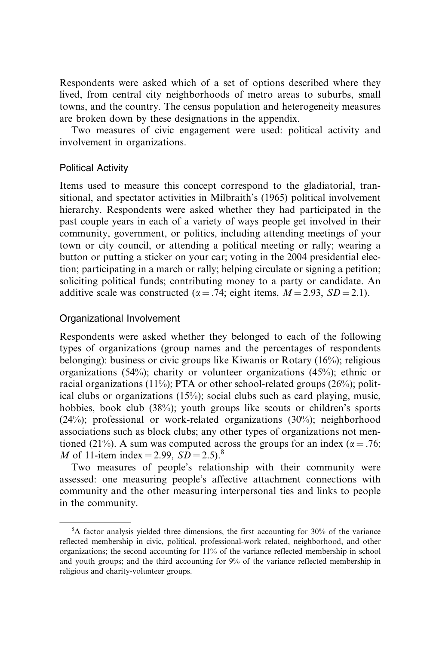Respondents were asked which of a set of options described where they lived, from central city neighborhoods of metro areas to suburbs, small towns, and the country. The census population and heterogeneity measures are broken down by these designations in the appendix.

Two measures of civic engagement were used: political activity and involvement in organizations.

## Political Activity

Items used to measure this concept correspond to the gladiatorial, transitional, and spectator activities in Milbraith's (1965) political involvement hierarchy. Respondents were asked whether they had participated in the past couple years in each of a variety of ways people get involved in their community, government, or politics, including attending meetings of your town or city council, or attending a political meeting or rally; wearing a button or putting a sticker on your car; voting in the 2004 presidential election; participating in a march or rally; helping circulate or signing a petition; soliciting political funds; contributing money to a party or candidate. An additive scale was constructed ( $\alpha = .74$ ; eight items,  $M = 2.93$ ,  $SD = 2.1$ ).

# Organizational Involvement

Respondents were asked whether they belonged to each of the following types of organizations (group names and the percentages of respondents belonging): business or civic groups like Kiwanis or Rotary (16%); religious organizations  $(54\%)$ ; charity or volunteer organizations  $(45\%)$ ; ethnic or racial organizations (11%); PTA or other school-related groups (26%); political clubs or organizations (15%); social clubs such as card playing, music, hobbies, book club (38%); youth groups like scouts or children's sports  $(24\%)$ ; professional or work-related organizations  $(30\%)$ ; neighborhood associations such as block clubs; any other types of organizations not mentioned (21%). A sum was computed across the groups for an index ( $\alpha = .76$ ; *M* of 11-item index = 2.99,  $SD = 2.5$ .<sup>8</sup>

Two measures of people's relationship with their community were assessed: one measuring people's affective attachment connections with community and the other measuring interpersonal ties and links to people in the community.

<sup>&</sup>lt;sup>8</sup>A factor analysis yielded three dimensions, the first accounting for 30% of the variance reflected membership in civic, political, professional-work related, neighborhood, and other organizations; the second accounting for 11% of the variance reflected membership in school and youth groups; and the third accounting for 9% of the variance reflected membership in religious and charity-volunteer groups.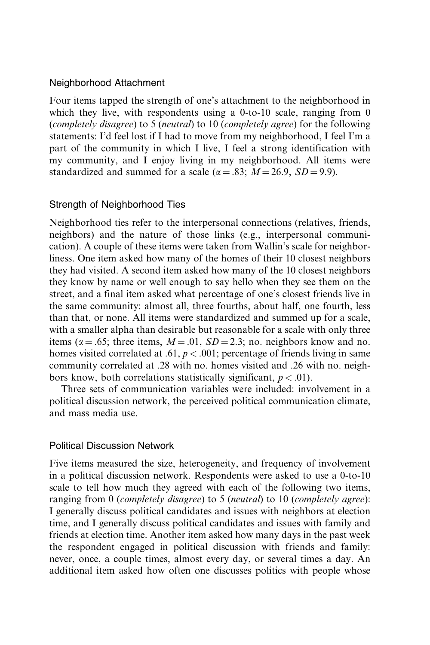#### Neighborhood Attachment

Four items tapped the strength of one's attachment to the neighborhood in which they live, with respondents using a 0-to-10 scale, ranging from 0 (completely disagree) to 5 (neutral) to 10 (completely agree) for the following statements: I'd feel lost if I had to move from my neighborhood, I feel I'm a part of the community in which I live, I feel a strong identification with my community, and I enjoy living in my neighborhood. All items were standardized and summed for a scale ( $\alpha = .83$ ;  $M = 26.9$ ,  $SD = 9.9$ ).

#### Strength of Neighborhood Ties

Neighborhood ties refer to the interpersonal connections (relatives, friends, neighbors) and the nature of those links (e.g., interpersonal communication). A couple of these items were taken from Wallin's scale for neighborliness. One item asked how many of the homes of their 10 closest neighbors they had visited. A second item asked how many of the 10 closest neighbors they know by name or well enough to say hello when they see them on the street, and a final item asked what percentage of one's closest friends live in the same community: almost all, three fourths, about half, one fourth, less than that, or none. All items were standardized and summed up for a scale, with a smaller alpha than desirable but reasonable for a scale with only three items ( $\alpha$  = .65; three items,  $M = .01$ ,  $SD = 2.3$ ; no. neighbors know and no. homes visited correlated at .61,  $p < .001$ ; percentage of friends living in same community correlated at .28 with no. homes visited and .26 with no. neighbors know, both correlations statistically significant,  $p < .01$ ).

Three sets of communication variables were included: involvement in a political discussion network, the perceived political communication climate, and mass media use.

#### Political Discussion Network

Five items measured the size, heterogeneity, and frequency of involvement in a political discussion network. Respondents were asked to use a 0-to-10 scale to tell how much they agreed with each of the following two items, ranging from 0 (*completely disagree*) to 5 (*neutral*) to 10 (*completely agree*): I generally discuss political candidates and issues with neighbors at election time, and I generally discuss political candidates and issues with family and friends at election time. Another item asked how many days in the past week the respondent engaged in political discussion with friends and family: never, once, a couple times, almost every day, or several times a day. An additional item asked how often one discusses politics with people whose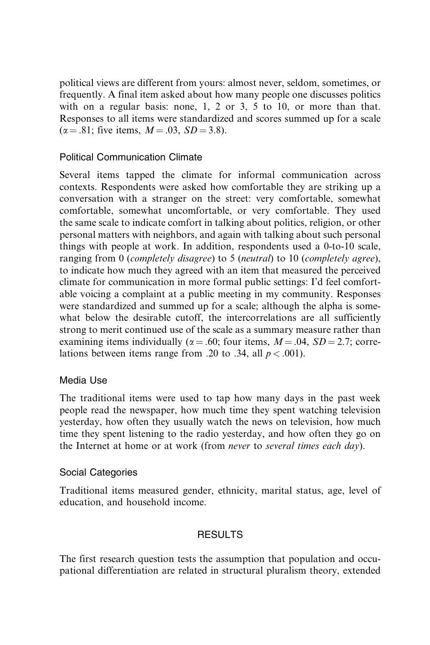political views are different from yours: almost never, seldom, sometimes, or frequently. A final item asked about how many people one discusses politics with on a regular basis: none, 1, 2 or 3, 5 to 10, or more than that. Responses to all items were standardized and scores summed up for a scale  $(\alpha = .81; \text{ five items}, M = .03, SD = 3.8).$ 

# Political Communication Climate

Several items tapped the climate for informal communication across contexts. Respondents were asked how comfortable they are striking up a conversation with a stranger on the street: very comfortable, somewhat comfortable, somewhat uncomfortable, or very comfortable. They used the same scale to indicate comfort in talking about politics, religion, or other personal matters with neighbors, and again with talking about such personal things with people at work. In addition, respondents used a 0-to-10 scale, ranging from 0 (completely disagree) to 5 (neutral) to 10 (completely agree), to indicate how much they agreed with an item that measured the perceived climate for communication in more formal public settings: I'd feel comfortable voicing a complaint at a public meeting in my community. Responses were standardized and summed up for a scale; although the alpha is somewhat below the desirable cutoff, the intercorrelations are all sufficiently strong to merit continued use of the scale as a summary measure rather than examining items individually ( $\alpha = .60$ ; four items,  $M = .04$ ,  $SD = 2.7$ ; correlations between items range from .20 to .34, all  $p < .001$ ).

## Media Use

The traditional items were used to tap how many days in the past week people read the newspaper, how much time they spent watching television yesterday, how often they usually watch the news on television, how much time they spent listening to the radio yesterday, and how often they go on the Internet at home or at work (from never to several times each day).

## Social Categories

Traditional items measured gender, ethnicity, marital status, age, level of education, and household income.

# **RESULTS**

The first research question tests the assumption that population and occupational differentiation are related in structural pluralism theory, extended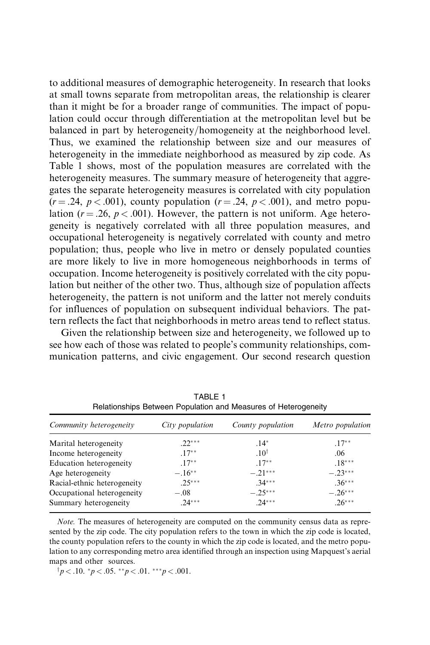to additional measures of demographic heterogeneity. In research that looks at small towns separate from metropolitan areas, the relationship is clearer than it might be for a broader range of communities. The impact of population could occur through differentiation at the metropolitan level but be balanced in part by heterogeneity/homogeneity at the neighborhood level. Thus, we examined the relationship between size and our measures of heterogeneity in the immediate neighborhood as measured by zip code. As Table 1 shows, most of the population measures are correlated with the heterogeneity measures. The summary measure of heterogeneity that aggregates the separate heterogeneity measures is correlated with city population  $(r = .24, p < .001)$ , county population  $(r = .24, p < .001)$ , and metro population ( $r = .26$ ,  $p < .001$ ). However, the pattern is not uniform. Age heterogeneity is negatively correlated with all three population measures, and occupational heterogeneity is negatively correlated with county and metro population; thus, people who live in metro or densely populated counties are more likely to live in more homogeneous neighborhoods in terms of occupation. Income heterogeneity is positively correlated with the city population but neither of the other two. Thus, although size of population affects heterogeneity, the pattern is not uniform and the latter not merely conduits for influences of population on subsequent individual behaviors. The pattern reflects the fact that neighborhoods in metro areas tend to reflect status.

Given the relationship between size and heterogeneity, we followed up to see how each of those was related to people's community relationships, communication patterns, and civic engagement. Our second research question

| Relationships Between Population and Measures of Heterogeneity |                 |                   |                  |  |  |  |  |
|----------------------------------------------------------------|-----------------|-------------------|------------------|--|--|--|--|
| Community heterogeneity                                        | City population | County population | Metro population |  |  |  |  |
| Marital heterogeneity                                          | $22***$         | $.14*$            | $.17**$          |  |  |  |  |
| Income heterogeneity                                           | $17**$          | $10^{\dagger}$    | .06              |  |  |  |  |
| Education heterogeneity                                        | $17**$          | $17**$            | $.18***$         |  |  |  |  |
| Age heterogeneity                                              | $-.16***$       | $-.21***$         | $-.23***$        |  |  |  |  |
| Racial-ethnic heterogeneity                                    | $25***$         | $34***$           | $.36***$         |  |  |  |  |
| Occupational heterogeneity                                     | $-.08$          | $-25***$          | $-.26***$        |  |  |  |  |
| Summary heterogeneity                                          | $.24***$        | $24***$           | $.26***$         |  |  |  |  |

TABLE 1

Note. The measures of heterogeneity are computed on the community census data as represented by the zip code. The city population refers to the town in which the zip code is located, the county population refers to the county in which the zip code is located, and the metro population to any corresponding metro area identified through an inspection using Mapquest's aerial maps and other sources.

 $\frac{1}{p}$  < .10.  $\frac{1}{p}$  < .05.  $\frac{1}{p}$  < .01.  $\frac{1}{p}$  × .001.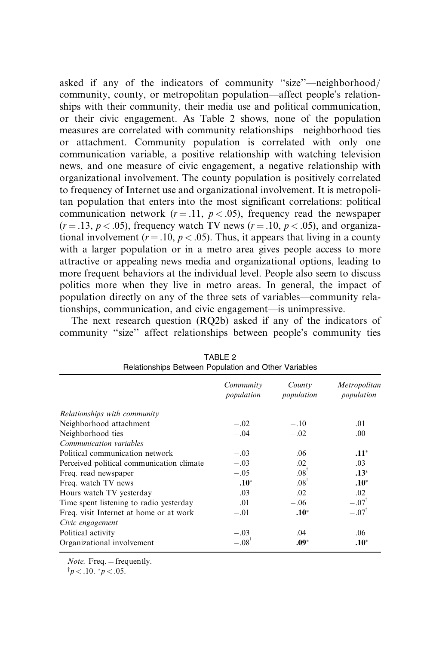asked if any of the indicators of community "size"—neighborhood/ community, county, or metropolitan population—affect people's relationships with their community, their media use and political communication, or their civic engagement. As Table 2 shows, none of the population measures are correlated with community relationships—neighborhood ties or attachment. Community population is correlated with only one communication variable, a positive relationship with watching television news, and one measure of civic engagement, a negative relationship with organizational involvement. The county population is positively correlated to frequency of Internet use and organizational involvement. It is metropolitan population that enters into the most significant correlations: political communication network ( $r = .11$ ,  $p < .05$ ), frequency read the newspaper  $(r = .13, p < .05)$ , frequency watch TV news  $(r = .10, p < .05)$ , and organizational involvement ( $r = .10$ ,  $p < .05$ ). Thus, it appears that living in a county with a larger population or in a metro area gives people access to more attractive or appealing news media and organizational options, leading to more frequent behaviors at the individual level. People also seem to discuss politics more when they live in metro areas. In general, the impact of population directly on any of the three sets of variables—community relationships, communication, and civic engagement—is unimpressive.

The next research question (RQ2b) asked if any of the indicators of community ''size'' affect relationships between people's community ties

| Helationships Detween Fopulation and Other Vanables |                         |                      |                            |
|-----------------------------------------------------|-------------------------|----------------------|----------------------------|
|                                                     | Community<br>population | County<br>population | Metropolitan<br>population |
| Relationships with community                        |                         |                      |                            |
| Neighborhood attachment                             | $-.02$                  | $-.10$               | .01                        |
| Neighborhood ties                                   | $-.04$                  | $-.02$               | .00.                       |
| Communication variables                             |                         |                      |                            |
| Political communication network                     | $-.03$                  | .06                  | $.11^*$                    |
| Perceived political communication climate           | $-.03$                  | .02                  | .03                        |
| Freq. read newspaper                                | $-.05$                  | $.08^{\circ}$        | $.13*$                     |
| Freq. watch TV news                                 | $.10*$                  | $.08^{\dagger}$      | $.10*$                     |
| Hours watch TV yesterday                            | .03                     | .02                  | .02                        |
| Time spent listening to radio vesterday             | .01                     | $-.06$               | $-.07$                     |
| Freq. visit Internet at home or at work             | $-.01$                  | $.10^*$              | $-.07^{\dagger}$           |
| Civic engagement                                    |                         |                      |                            |
| Political activity                                  | $-.03$                  | .04                  | .06                        |
| Organizational involvement                          | $-.08$ <sup>'</sup>     | $.09*$               | $.10*$                     |

|                                                      | TABLE 2 |  |  |
|------------------------------------------------------|---------|--|--|
| Relationships Between Population and Other Variables |         |  |  |

*Note.* Freq.  $=$  frequently.

 $\dagger p < .10.^{\circ} p < .05.$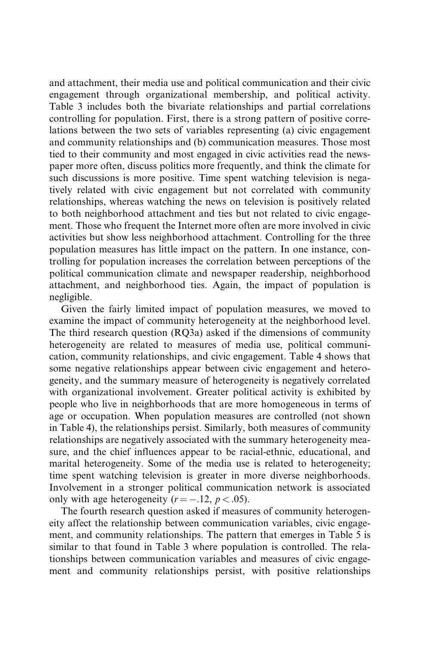and attachment, their media use and political communication and their civic engagement through organizational membership, and political activity. Table 3 includes both the bivariate relationships and partial correlations controlling for population. First, there is a strong pattern of positive correlations between the two sets of variables representing (a) civic engagement and community relationships and (b) communication measures. Those most tied to their community and most engaged in civic activities read the newspaper more often, discuss politics more frequently, and think the climate for such discussions is more positive. Time spent watching television is negatively related with civic engagement but not correlated with community relationships, whereas watching the news on television is positively related to both neighborhood attachment and ties but not related to civic engagement. Those who frequent the Internet more often are more involved in civic activities but show less neighborhood attachment. Controlling for the three population measures has little impact on the pattern. In one instance, controlling for population increases the correlation between perceptions of the political communication climate and newspaper readership, neighborhood attachment, and neighborhood ties. Again, the impact of population is negligible.

Given the fairly limited impact of population measures, we moved to examine the impact of community heterogeneity at the neighborhood level. The third research question (RQ3a) asked if the dimensions of community heterogeneity are related to measures of media use, political communication, community relationships, and civic engagement. Table 4 shows that some negative relationships appear between civic engagement and heterogeneity, and the summary measure of heterogeneity is negatively correlated with organizational involvement. Greater political activity is exhibited by people who live in neighborhoods that are more homogeneous in terms of age or occupation. When population measures are controlled (not shown in Table 4), the relationships persist. Similarly, both measures of community relationships are negatively associated with the summary heterogeneity measure, and the chief influences appear to be racial-ethnic, educational, and marital heterogeneity. Some of the media use is related to heterogeneity; time spent watching television is greater in more diverse neighborhoods. Involvement in a stronger political communication network is associated only with age heterogeneity ( $r = -.12$ ,  $p < .05$ ).

The fourth research question asked if measures of community heterogeneity affect the relationship between communication variables, civic engagement, and community relationships. The pattern that emerges in Table 5 is similar to that found in Table 3 where population is controlled. The relationships between communication variables and measures of civic engagement and community relationships persist, with positive relationships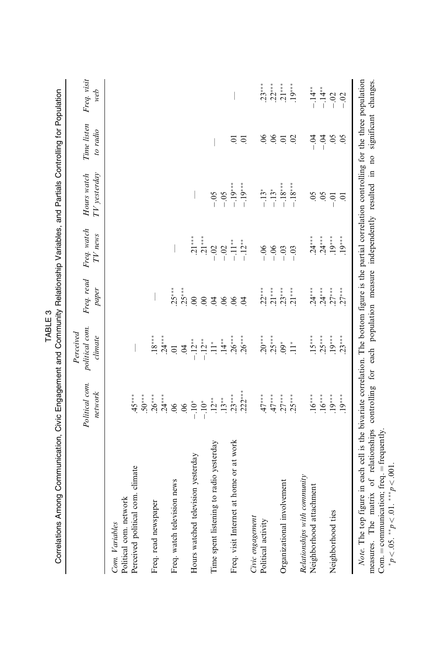| Correlations Among Communication, Civic Engagement and Community Relationship Variables, and Partials Controlling for Population                                                                                                                                                     |                              |                                        |                          |                          |                               |                                    |                      |
|--------------------------------------------------------------------------------------------------------------------------------------------------------------------------------------------------------------------------------------------------------------------------------------|------------------------------|----------------------------------------|--------------------------|--------------------------|-------------------------------|------------------------------------|----------------------|
|                                                                                                                                                                                                                                                                                      | Political com.<br>network    | political com.<br>Perceived<br>climate | Freq. read<br>paper      | Freq. watch<br>$TV$ news | $TV$ yesterday<br>Hours watch | Time listen<br>to radio            | Freq. visit<br>web   |
| Political com. network<br>Con. Variables                                                                                                                                                                                                                                             |                              |                                        |                          |                          |                               |                                    |                      |
| Perceived political com. climate                                                                                                                                                                                                                                                     | $.50***$<br>$45***$          |                                        |                          |                          |                               |                                    |                      |
| Freq. read newspaper                                                                                                                                                                                                                                                                 | $.26***$                     | $.18^{***}$<br>$.24***$                |                          |                          |                               |                                    |                      |
| Freq. watch television news                                                                                                                                                                                                                                                          | $.24***$<br>$\overline{0}$ . | $\overline{0}$                         | $.25***$                 |                          |                               |                                    |                      |
| Hours watched television yesterday                                                                                                                                                                                                                                                   | $-10^{*}$<br>06              | $-12**$<br>$\ddot{q}$                  | $.25***$<br>$\mathbf{S}$ | $.21***$                 |                               |                                    |                      |
| Time spent listening to radio yesterday                                                                                                                                                                                                                                              | $12**$<br>$-10^*$            | $-12**$<br>$\stackrel{*}{\equiv}$      | $\infty$<br>$\ddot{a}$   | $.21***$<br>$-0.02$      | $-0.5$                        |                                    |                      |
| Freq. visit Internet at home or at work                                                                                                                                                                                                                                              | $.23***$<br>$.13**$          | $.26***$<br>$.14**$                    | $\infty$<br>$\infty$     | $-11$ *<br>$-0.02$       | $-19***$<br>$-0.5$            | 5                                  |                      |
|                                                                                                                                                                                                                                                                                      | $.222***$                    | $.26***$                               | इ                        | $-12**$                  | $-19***$                      | $\overline{0}$                     |                      |
| Civic engagement<br>Political activity                                                                                                                                                                                                                                               | $47***$                      | $.20***$                               | $.22***$                 | $-0.6$                   | $-13*$                        | 06                                 | $.23***$             |
|                                                                                                                                                                                                                                                                                      | $.47***$                     | $.25***$                               | $.21***$                 | $-0.6$                   | $-13*$                        |                                    | $.22***$             |
| Organizational involvement                                                                                                                                                                                                                                                           | $.27***$<br>$.25***$         | $\ddot{\mathrm{60}}$<br>$\ddot{=}$     | $.23***$<br>$.21***$     | $-0.3$<br>$-0.3$         | $-18***$<br>$-18***$          | $\S$ $\overline{S}$ $\overline{S}$ | $.21***$<br>$.19***$ |
| Relationships with community                                                                                                                                                                                                                                                         |                              |                                        |                          |                          |                               |                                    |                      |
| Neighborhood attachment                                                                                                                                                                                                                                                              | $.16***$<br>$.16***$         | $.15***$<br>$.25***$                   | $24***$<br>$24***$       | $.24***$<br>$.24***$     | $\sim$<br>50.                 | $-0.4$<br>$-0.4$                   | $-14$<br>$-14$       |
| Neighborhood ties                                                                                                                                                                                                                                                                    | $.19***$                     | $.19***$                               | $.27***$                 | $.19***$                 | $-0$                          | 60                                 | $-0.2$               |
|                                                                                                                                                                                                                                                                                      | $19***$                      | $23***$                                | $.27***$                 | $.19***$                 | ā                             | $\overline{0}$                     | $-02$                |
| Note. The top figure in each cell is the bivariate correlation. The bottom figure is the partial correlation controlling for the three population<br>measures. The matrix of relationships controlling for each population measure independently resulted in no significant changes. |                              |                                        |                          |                          |                               |                                    |                      |

TABLE 3 TABLE 3

measures. The matrix of relationships controlling for each population measure independently resulted in no significant changes.<br>Com.≔communication; freq.=frequently.<br>\*p < .05. \*\*p < .01. \*\*\*p < .001.  $Com. = comm$  communication; freq.  $=$  frequently.

 $p < 0.05$ .  ${}^{**}p < 0.01$ .  ${}^{**}p < 0.01$ .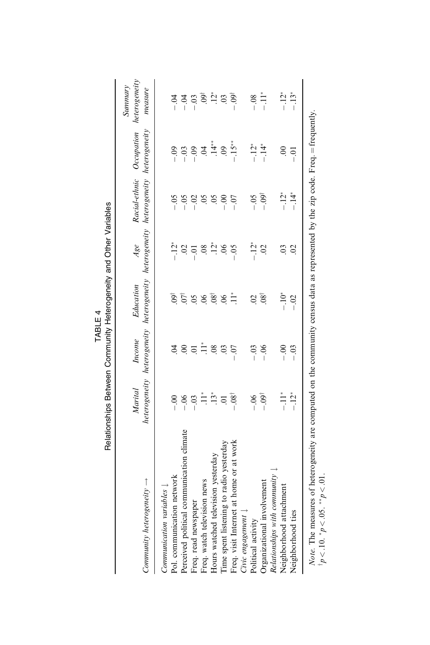|                                                                                                                                   | Relationships Between Community Heterogeneity and Other Variables |                   |                  |                                                                                            |                          |                |                                            |
|-----------------------------------------------------------------------------------------------------------------------------------|-------------------------------------------------------------------|-------------------|------------------|--------------------------------------------------------------------------------------------|--------------------------|----------------|--------------------------------------------|
| $Commonunity$ heterogeneity $\rightarrow$                                                                                         | Marital                                                           | Income            | Education        | heterogeneity heterogeneity heterogeneity heterogeneity heterogeneity heterogeneity<br>Age | Racial-ethnic Occupation |                | heterogeneity<br><b>Summary</b><br>measure |
| $Common$ munication variables                                                                                                     |                                                                   |                   |                  |                                                                                            |                          |                |                                            |
| Pol. communication network                                                                                                        | $-00$                                                             | $\ddot{5}$        | $09^{\dagger}$   |                                                                                            |                          | $-0.9$         | ।<br>।                                     |
| Perceived political communication climate                                                                                         | $-0.6$                                                            | $\infty$          | $07^{\dagger}$   | $\mathcal{S}$                                                                              | $-0.5$                   | $-03$          | $-9$                                       |
| Freq. read newspaper                                                                                                              | $-0.3$                                                            | $\overline{a}$    | $\mathcal{S}^0$  | $-0.$                                                                                      | $-02$                    | $-0.09$        | $-0.3$                                     |
| Freq. watch television news                                                                                                       | $\ddot{=}$                                                        | $\stackrel{*}{=}$ | $\mathcal{S}$    | $\overline{08}$                                                                            | 05                       | $\tilde{q}$    | $.09^\dagger$                              |
| Hours watched television yesterday                                                                                                | $.13*$                                                            | $\overline{0}$    | $.08^{\dagger}$  | $\ddot{2}^*$                                                                               | $\overline{0}$           | $.14**$        | $\ddot{2}^*$                               |
| ime spent listening to radio yesterday                                                                                            | $\overline{0}$                                                    | 03                | $\overline{6}$   | $\frac{90}{2}$                                                                             | $-0$                     | $\overline{0}$ | $\overline{0}$                             |
| Freq. visit Internet at home or at work                                                                                           | $-0.08^{\dagger}$                                                 | $-0.7$            | $\sum_{i=1}^{n}$ | $-0.5$                                                                                     | $-0$                     | $-15**$        | $-0.9^\dagger$                             |
| Civic engagement                                                                                                                  |                                                                   |                   |                  |                                                                                            |                          |                |                                            |
| Political activity                                                                                                                | $-0.6$                                                            | $-0.3$            | $\overline{0}$   | $-12$ <sup>*</sup>                                                                         | $-0.5$                   | $-12^{*}$      | $-0.8$                                     |
| Organizational involvement                                                                                                        | $-0.9^{\dagger}$                                                  | $-0.06$           | $08^{\dagger}$   | $\mathcal{S}$                                                                              | $-09^\dagger$            | $-14*$         | $\overline{1}$                             |
| Relationships with community                                                                                                      |                                                                   |                   |                  |                                                                                            |                          |                |                                            |
| Neighborhood attachment                                                                                                           | $\frac{1}{1}$                                                     | $-0.0$            | $-10^{*}$        | $\overline{c}$                                                                             | $-12^{*}$                | $\circ$        | $-12*$                                     |
| Neighborhood ties                                                                                                                 | $-12*$                                                            | $-0.3$            | $-0.02$          | $\mathcal{S}$                                                                              | $-14*$                   | $-0.0$         | $-13*$                                     |
| Note. The measures of heterogeneity are committed on the community census data as represented by the zin code. Freq. = frequently |                                                                   |                   |                  |                                                                                            |                          |                |                                            |

TABLE 4 TABLE 4

 $\text{true}$  zip code. Fieq.  $=$  Irequently. Note. The measures of heterogeneity are computed on the community census data as represented by the zip code. Freq. = frequently. رں سی аз тертезец ţ j ą į **Comme** combaned on the co-*Note.* The measures of heterogeneity are  $\frac{1}{1}p < 0.10$ .  $\frac{k}{p} < 0.05$ .  $\frac{k}{p} < 0.01$ .  $p < 10.$  \* $p < 0.05.$  \* $p < 01$ .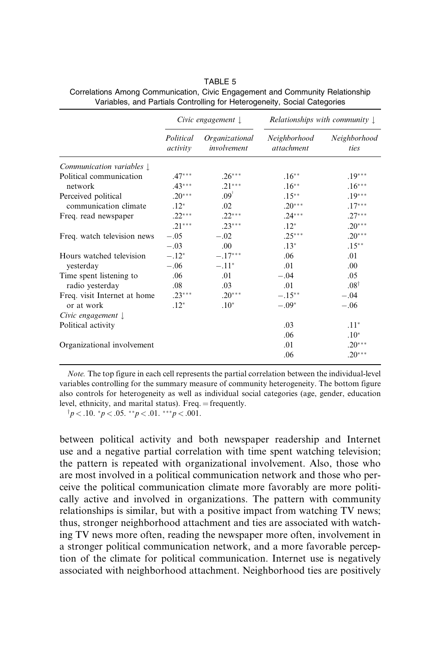|                                      |                       | Civic engagement $\downarrow$ | Relationships with community $\downarrow$ |                      |  |
|--------------------------------------|-----------------------|-------------------------------|-------------------------------------------|----------------------|--|
|                                      | Political<br>activity | Organizational<br>involvement | Neighborhood<br>attachment                | Neighborhood<br>ties |  |
| Communication variables $\downarrow$ |                       |                               |                                           |                      |  |
| Political communication              | $.47***$              | $.26***$                      | $.16***$                                  | $.19***$             |  |
| network                              | $.43***$              | $.21***$                      | $.16***$                                  | $.16***$             |  |
| Perceived political                  | $.20***$              | $.09^{\dagger}$               | $.15***$                                  | $.19***$             |  |
| communication climate                | $.12*$                | .02                           | $.20***$                                  | $.17***$             |  |
| Freq. read newspaper                 | $.22***$              | $.22***$                      | $.24***$                                  | $.27***$             |  |
|                                      | $.21***$              | $.23***$                      | $.12*$                                    | $.20***$             |  |
| Freq. watch television news          | $-.05$                | $-.02$                        | $.25***$                                  | $.20***$             |  |
|                                      | $-.03$                | .00.                          | $.13*$                                    | $.15***$             |  |
| Hours watched television             | $-.12*$               | $-.17***$                     | .06                                       | .01                  |  |
| yesterday                            | $-.06$                | $-.11*$                       | .01                                       | .00                  |  |
| Time spent listening to              | .06                   | .01                           | $-.04$                                    | .05                  |  |
| radio yesterday                      | .08                   | .03                           | .01                                       | .08 <sup>†</sup>     |  |
| Freq. visit Internet at home         | $.23***$              | $.20***$                      | $-.15***$                                 | $-.04$               |  |
| or at work                           | $.12*$                | $.10*$                        | $-.09*$                                   | $-.06$               |  |
| Civic engagement $\downarrow$        |                       |                               |                                           |                      |  |
| Political activity                   |                       |                               | .03                                       | $.11*$               |  |
|                                      |                       |                               | .06                                       | $.10*$               |  |
| Organizational involvement           |                       |                               | .01                                       | $.20***$             |  |
|                                      |                       |                               | .06                                       | $.20***$             |  |

Correlations Among Communication, Civic Engagement and Community Relationship Variables, and Partials Controlling for Heterogeneity, Social Categories

Note. The top figure in each cell represents the partial correlation between the individual-level variables controlling for the summary measure of community heterogeneity. The bottom figure also controls for heterogeneity as well as individual social categories (age, gender, education level, ethnicity, and marital status). Freq.  $=$  frequently.

 $\frac{1}{p}$  < .10.  $\frac{1}{p}$  < .05.  $\frac{1}{p}$  < .01.  $\frac{1}{p}$  × .001.

between political activity and both newspaper readership and Internet use and a negative partial correlation with time spent watching television; the pattern is repeated with organizational involvement. Also, those who are most involved in a political communication network and those who perceive the political communication climate more favorably are more politically active and involved in organizations. The pattern with community relationships is similar, but with a positive impact from watching TV news; thus, stronger neighborhood attachment and ties are associated with watching TV news more often, reading the newspaper more often, involvement in a stronger political communication network, and a more favorable perception of the climate for political communication. Internet use is negatively associated with neighborhood attachment. Neighborhood ties are positively

#### TABLE 5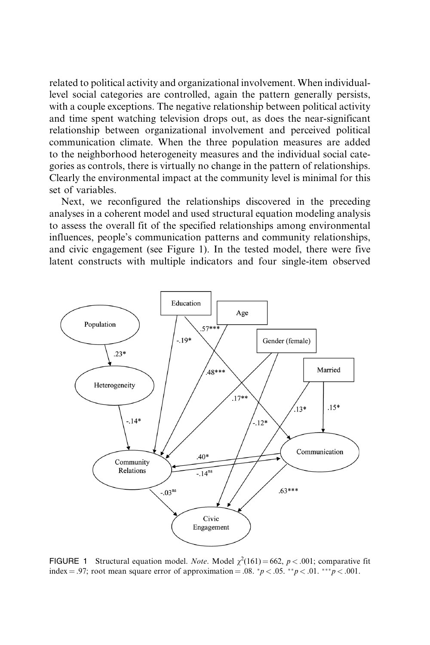related to political activity and organizational involvement. When individuallevel social categories are controlled, again the pattern generally persists, with a couple exceptions. The negative relationship between political activity and time spent watching television drops out, as does the near-significant relationship between organizational involvement and perceived political communication climate. When the three population measures are added to the neighborhood heterogeneity measures and the individual social categories as controls, there is virtually no change in the pattern of relationships. Clearly the environmental impact at the community level is minimal for this set of variables.

Next, we reconfigured the relationships discovered in the preceding analyses in a coherent model and used structural equation modeling analysis to assess the overall fit of the specified relationships among environmental influences, people's communication patterns and community relationships, and civic engagement (see Figure 1). In the tested model, there were five latent constructs with multiple indicators and four single-item observed



**FIGURE 1** Structural equation model. *Note*. Model  $\chi^2(161) = 662$ ,  $p < .001$ ; comparative fit index = .97; root mean square error of approximation = .08. \* $p < .05$ . \*\* $p < .01$ . \*\*\* $p < .001$ .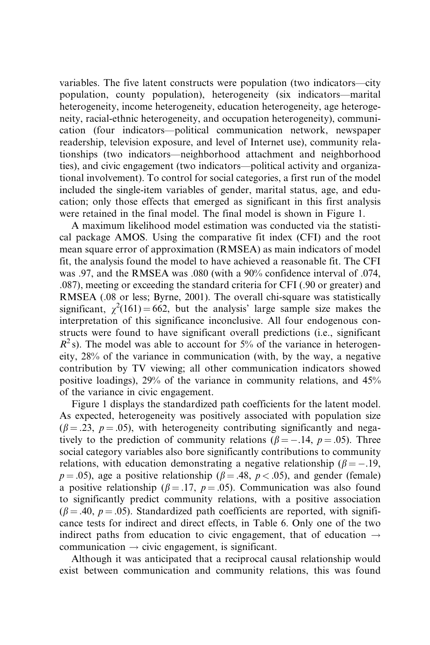variables. The five latent constructs were population (two indicators—city population, county population), heterogeneity (six indicators—marital heterogeneity, income heterogeneity, education heterogeneity, age heterogeneity, racial-ethnic heterogeneity, and occupation heterogeneity), communication (four indicators—political communication network, newspaper readership, television exposure, and level of Internet use), community relationships (two indicators—neighborhood attachment and neighborhood ties), and civic engagement (two indicators—political activity and organizational involvement). To control for social categories, a first run of the model included the single-item variables of gender, marital status, age, and education; only those effects that emerged as significant in this first analysis were retained in the final model. The final model is shown in Figure 1.

A maximum likelihood model estimation was conducted via the statistical package AMOS. Using the comparative fit index (CFI) and the root mean square error of approximation (RMSEA) as main indicators of model fit, the analysis found the model to have achieved a reasonable fit. The CFI was .97, and the RMSEA was .080 (with a 90% confidence interval of .074, .087), meeting or exceeding the standard criteria for CFI (.90 or greater) and RMSEA (.08 or less; Byrne, 2001). The overall chi-square was statistically significant,  $\chi^2(161) = 662$ , but the analysis' large sample size makes the interpretation of this significance inconclusive. All four endogenous constructs were found to have significant overall predictions (i.e., significant  $R^2$  s). The model was able to account for 5% of the variance in heterogeneity, 28% of the variance in communication (with, by the way, a negative contribution by TV viewing; all other communication indicators showed positive loadings), 29% of the variance in community relations, and 45% of the variance in civic engagement.

Figure 1 displays the standardized path coefficients for the latent model. As expected, heterogeneity was positively associated with population size  $(\beta = .23, p = .05)$ , with heterogeneity contributing significantly and negatively to the prediction of community relations ( $\beta = -.14$ ,  $p = .05$ ). Three social category variables also bore significantly contributions to community relations, with education demonstrating a negative relationship ( $\beta = -.19$ ,  $p = .05$ ), age a positive relationship ( $\beta = .48$ ,  $p < .05$ ), and gender (female) a positive relationship ( $\beta = .17$ ,  $p = .05$ ). Communication was also found to significantly predict community relations, with a positive association  $(\beta = .40, p = .05)$ . Standardized path coefficients are reported, with significance tests for indirect and direct effects, in Table 6. Only one of the two indirect paths from education to civic engagement, that of education  $\rightarrow$ communication  $\rightarrow$  civic engagement, is significant.

Although it was anticipated that a reciprocal causal relationship would exist between communication and community relations, this was found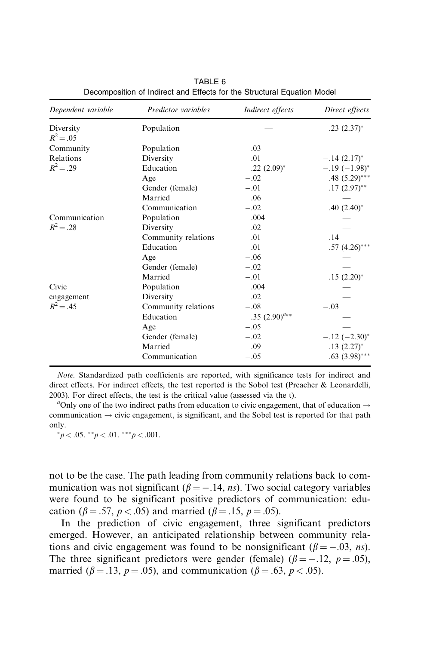| Dependent variable | Predictor variables | Indirect effects   | Direct effects             |
|--------------------|---------------------|--------------------|----------------------------|
| Diversity          | Population          |                    | $.23(2.37)^*$              |
| $R^2 = .05$        |                     |                    |                            |
| Community          | Population          | $-.03$             |                            |
| Relations          | Diversity           | .01                | $-.14$ (2.17) <sup>*</sup> |
| $R^2 = .29$        | Education           | .22 $(2.09)^*$     | $-.19(-1.98)$ *            |
|                    | Age                 | $-.02$             | .48 $(5.29)$ ***           |
|                    | Gender (female)     | $-.01$             | .17 $(2.97)$ **            |
|                    | Married             | .06                |                            |
|                    | Communication       | $-.02$             | $.40(2.40)$ *              |
| Communication      | Population          | .004               |                            |
| $R^2 = .28$        | Diversity           | .02                |                            |
|                    | Community relations | .01                | $-.14$                     |
|                    | Education           | .01                | $.57(4.26)$ ***            |
|                    | Age                 | $-.06$             |                            |
|                    | Gender (female)     | $-.02$             |                            |
|                    | Married             | $-.01$             | $.15(2.20)^*$              |
| Civic              | Population          | .004               |                            |
| engagement         | Diversity           | .02                |                            |
| $R^2 = .45$        | Community relations | $-.08$             | $-.03$                     |
|                    | Education           | .35 $(2.90)^{a**}$ |                            |
|                    | Age                 | $-.05$             |                            |
|                    | Gender (female)     | $-.02$             | $-.12 (-2.30)^*$           |
|                    | Married             | .09                | $.13(2.27)^*$              |
|                    | Communication       | $-.05$             | $.63(3.98)$ ***            |

TABLE 6 Decomposition of Indirect and Effects for the Structural Equation Model

Note. Standardized path coefficients are reported, with significance tests for indirect and direct effects. For indirect effects, the test reported is the Sobol test (Preacher & Leonardelli,  $2003$ ). For direct effects, the test is the critical value (assessed via the t).

"Only one of the two indirect paths from education to civic engagement, that of education  $\rightarrow$ communication  $\rightarrow$  civic engagement, is significant, and the Sobel test is reported for that path only.

\* $p < .05.$  \*\* $p < .01.$  \*\*\* $p < .001.$ 

not to be the case. The path leading from community relations back to communication was not significant ( $\beta = -1.14$ , *ns*). Two social category variables were found to be significant positive predictors of communication: education ( $\beta = .57$ ,  $p < .05$ ) and married ( $\beta = .15$ ,  $p = .05$ ).

In the prediction of civic engagement, three significant predictors emerged. However, an anticipated relationship between community relations and civic engagement was found to be nonsignificant ( $\beta = -0.03$ , *ns*). The three significant predictors were gender (female) ( $\beta = -.12$ ,  $p = .05$ ), married ( $\beta = .13$ ,  $p = .05$ ), and communication ( $\beta = .63$ ,  $p < .05$ ).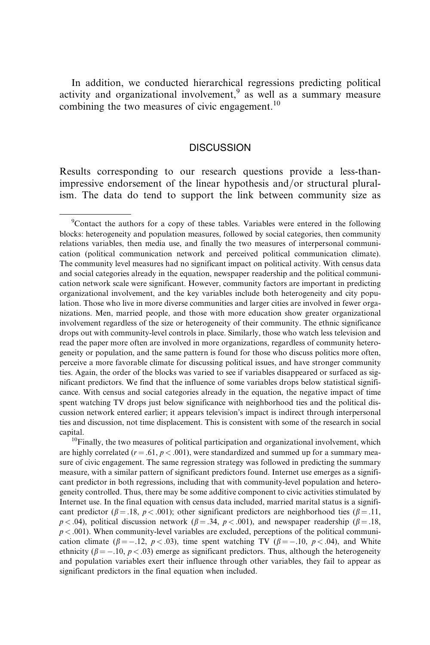In addition, we conducted hierarchical regressions predicting political activity and organizational involvement,<sup>9</sup> as well as a summary measure combining the two measures of civic engagement.<sup>10</sup>

#### **DISCUSSION**

Results corresponding to our research questions provide a less-thanimpressive endorsement of the linear hypothesis and/or structural pluralism. The data do tend to support the link between community size as

<sup>10</sup>Finally, the two measures of political participation and organizational involvement, which are highly correlated ( $r = .61$ ,  $p < .001$ ), were standardized and summed up for a summary measure of civic engagement. The same regression strategy was followed in predicting the summary measure, with a similar pattern of significant predictors found. Internet use emerges as a significant predictor in both regressions, including that with community-level population and heterogeneity controlled. Thus, there may be some additive component to civic activities stimulated by Internet use. In the final equation with census data included, married marital status is a significant predictor ( $\beta = .18$ ,  $p < .001$ ); other significant predictors are neighborhood ties ( $\beta = .11$ ,  $p < .04$ ), political discussion network ( $\beta = .34$ ,  $p < .001$ ), and newspaper readership ( $\beta = .18$ ,  $p < .001$ ). When community-level variables are excluded, perceptions of the political communication climate ( $\beta = -12$ ,  $p < .03$ ), time spent watching TV ( $\beta = -10$ ,  $p < .04$ ), and White ethnicity ( $\beta = -10$ ,  $p < .03$ ) emerge as significant predictors. Thus, although the heterogeneity and population variables exert their influence through other variables, they fail to appear as significant predictors in the final equation when included.

<sup>&</sup>lt;sup>9</sup>Contact the authors for a copy of these tables. Variables were entered in the following blocks: heterogeneity and population measures, followed by social categories, then community relations variables, then media use, and finally the two measures of interpersonal communication (political communication network and perceived political communication climate). The community level measures had no significant impact on political activity. With census data and social categories already in the equation, newspaper readership and the political communication network scale were significant. However, community factors are important in predicting organizational involvement, and the key variables include both heterogeneity and city population. Those who live in more diverse communities and larger cities are involved in fewer organizations. Men, married people, and those with more education show greater organizational involvement regardless of the size or heterogeneity of their community. The ethnic significance drops out with community-level controls in place. Similarly, those who watch less television and read the paper more often are involved in more organizations, regardless of community heterogeneity or population, and the same pattern is found for those who discuss politics more often, perceive a more favorable climate for discussing political issues, and have stronger community ties. Again, the order of the blocks was varied to see if variables disappeared or surfaced as significant predictors. We find that the influence of some variables drops below statistical significance. With census and social categories already in the equation, the negative impact of time spent watching TV drops just below significance with neighborhood ties and the political discussion network entered earlier; it appears television's impact is indirect through interpersonal ties and discussion, not time displacement. This is consistent with some of the research in social capital.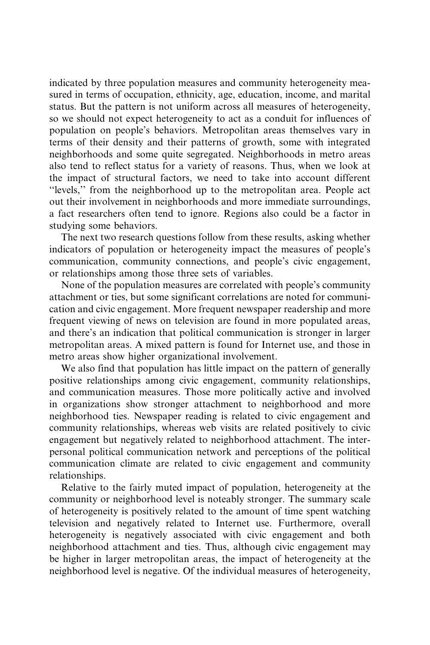indicated by three population measures and community heterogeneity measured in terms of occupation, ethnicity, age, education, income, and marital status. But the pattern is not uniform across all measures of heterogeneity, so we should not expect heterogeneity to act as a conduit for influences of population on people's behaviors. Metropolitan areas themselves vary in terms of their density and their patterns of growth, some with integrated neighborhoods and some quite segregated. Neighborhoods in metro areas also tend to reflect status for a variety of reasons. Thus, when we look at the impact of structural factors, we need to take into account different ''levels,'' from the neighborhood up to the metropolitan area. People act out their involvement in neighborhoods and more immediate surroundings, a fact researchers often tend to ignore. Regions also could be a factor in studying some behaviors.

The next two research questions follow from these results, asking whether indicators of population or heterogeneity impact the measures of people's communication, community connections, and people's civic engagement, or relationships among those three sets of variables.

None of the population measures are correlated with people's community attachment or ties, but some significant correlations are noted for communication and civic engagement. More frequent newspaper readership and more frequent viewing of news on television are found in more populated areas, and there's an indication that political communication is stronger in larger metropolitan areas. A mixed pattern is found for Internet use, and those in metro areas show higher organizational involvement.

We also find that population has little impact on the pattern of generally positive relationships among civic engagement, community relationships, and communication measures. Those more politically active and involved in organizations show stronger attachment to neighborhood and more neighborhood ties. Newspaper reading is related to civic engagement and community relationships, whereas web visits are related positively to civic engagement but negatively related to neighborhood attachment. The interpersonal political communication network and perceptions of the political communication climate are related to civic engagement and community relationships.

Relative to the fairly muted impact of population, heterogeneity at the community or neighborhood level is noteably stronger. The summary scale of heterogeneity is positively related to the amount of time spent watching television and negatively related to Internet use. Furthermore, overall heterogeneity is negatively associated with civic engagement and both neighborhood attachment and ties. Thus, although civic engagement may be higher in larger metropolitan areas, the impact of heterogeneity at the neighborhood level is negative. Of the individual measures of heterogeneity,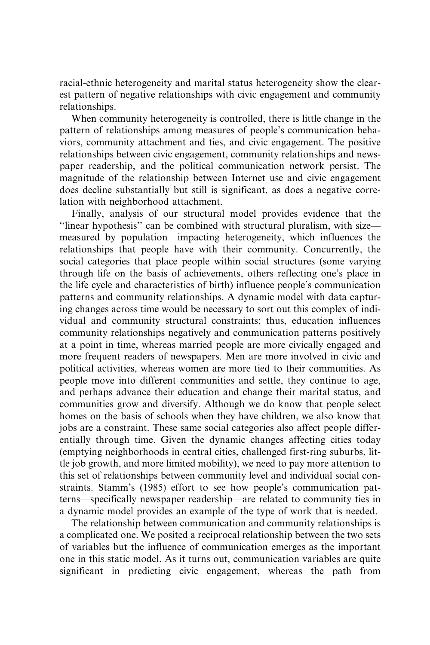racial-ethnic heterogeneity and marital status heterogeneity show the clearest pattern of negative relationships with civic engagement and community relationships.

When community heterogeneity is controlled, there is little change in the pattern of relationships among measures of people's communication behaviors, community attachment and ties, and civic engagement. The positive relationships between civic engagement, community relationships and newspaper readership, and the political communication network persist. The magnitude of the relationship between Internet use and civic engagement does decline substantially but still is significant, as does a negative correlation with neighborhood attachment.

Finally, analysis of our structural model provides evidence that the ''linear hypothesis'' can be combined with structural pluralism, with size measured by population—impacting heterogeneity, which influences the relationships that people have with their community. Concurrently, the social categories that place people within social structures (some varying through life on the basis of achievements, others reflecting one's place in the life cycle and characteristics of birth) influence people's communication patterns and community relationships. A dynamic model with data capturing changes across time would be necessary to sort out this complex of individual and community structural constraints; thus, education influences community relationships negatively and communication patterns positively at a point in time, whereas married people are more civically engaged and more frequent readers of newspapers. Men are more involved in civic and political activities, whereas women are more tied to their communities. As people move into different communities and settle, they continue to age, and perhaps advance their education and change their marital status, and communities grow and diversify. Although we do know that people select homes on the basis of schools when they have children, we also know that jobs are a constraint. These same social categories also affect people differentially through time. Given the dynamic changes affecting cities today (emptying neighborhoods in central cities, challenged first-ring suburbs, little job growth, and more limited mobility), we need to pay more attention to this set of relationships between community level and individual social constraints. Stamm's (1985) effort to see how people's communication patterns—specifically newspaper readership—are related to community ties in a dynamic model provides an example of the type of work that is needed.

The relationship between communication and community relationships is a complicated one. We posited a reciprocal relationship between the two sets of variables but the influence of communication emerges as the important one in this static model. As it turns out, communication variables are quite significant in predicting civic engagement, whereas the path from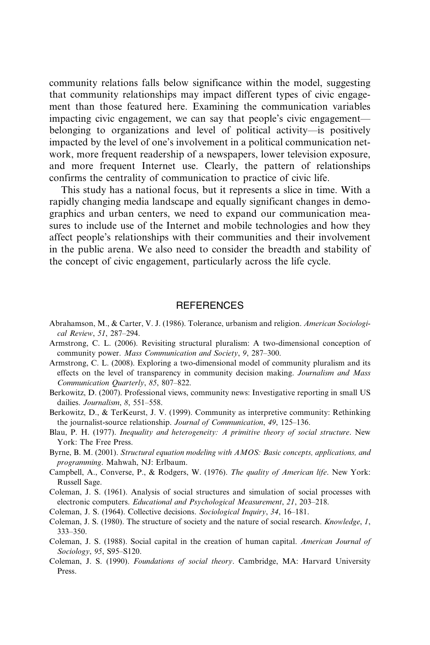community relations falls below significance within the model, suggesting that community relationships may impact different types of civic engagement than those featured here. Examining the communication variables impacting civic engagement, we can say that people's civic engagement belonging to organizations and level of political activity—is positively impacted by the level of one's involvement in a political communication network, more frequent readership of a newspapers, lower television exposure, and more frequent Internet use. Clearly, the pattern of relationships confirms the centrality of communication to practice of civic life.

This study has a national focus, but it represents a slice in time. With a rapidly changing media landscape and equally significant changes in demographics and urban centers, we need to expand our communication measures to include use of the Internet and mobile technologies and how they affect people's relationships with their communities and their involvement in the public arena. We also need to consider the breadth and stability of the concept of civic engagement, particularly across the life cycle.

#### **REFERENCES**

- Abrahamson, M., & Carter, V. J. (1986). Tolerance, urbanism and religion. American Sociological Review, 51, 287–294.
- Armstrong, C. L. (2006). Revisiting structural pluralism: A two-dimensional conception of community power. Mass Communication and Society, 9, 287–300.
- Armstrong, C. L. (2008). Exploring a two-dimensional model of community pluralism and its effects on the level of transparency in community decision making. Journalism and Mass Communication Quarterly, 85, 807–822.
- Berkowitz, D. (2007). Professional views, community news: Investigative reporting in small US dailies. Journalism, 8, 551–558.
- Berkowitz, D., & TerKeurst, J. V. (1999). Community as interpretive community: Rethinking the journalist-source relationship. Journal of Communication, 49, 125–136.
- Blau, P. H. (1977). *Inequality and heterogeneity: A primitive theory of social structure*. New York: The Free Press.
- Byrne, B. M. (2001). Structural equation modeling with AMOS: Basic concepts, applications, and programming. Mahwah, NJ: Erlbaum.
- Campbell, A., Converse, P., & Rodgers, W. (1976). The quality of American life. New York: Russell Sage.
- Coleman, J. S. (1961). Analysis of social structures and simulation of social processes with electronic computers. Educational and Psychological Measurement, 21, 203–218.
- Coleman, J. S. (1964). Collective decisions. Sociological Inquiry, 34, 16–181.
- Coleman, J. S. (1980). The structure of society and the nature of social research. Knowledge, 1, 333–350.
- Coleman, J. S. (1988). Social capital in the creation of human capital. American Journal of Sociology, 95, S95–S120.
- Coleman, J. S. (1990). Foundations of social theory. Cambridge, MA: Harvard University Press.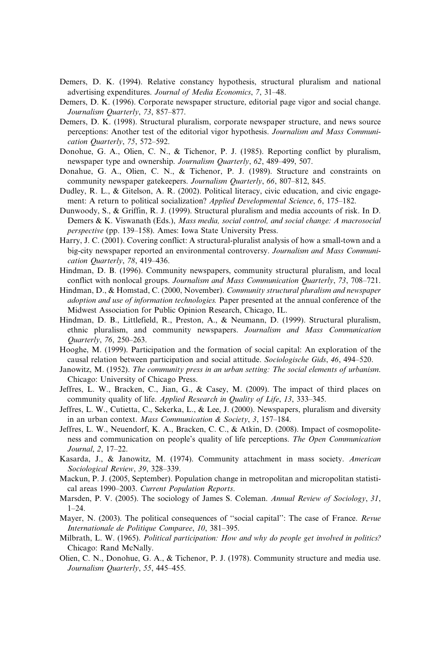- Demers, D. K. (1994). Relative constancy hypothesis, structural pluralism and national advertising expenditures. Journal of Media Economics, 7, 31–48.
- Demers, D. K. (1996). Corporate newspaper structure, editorial page vigor and social change. Journalism Quarterly, 73, 857–877.
- Demers, D. K. (1998). Structural pluralism, corporate newspaper structure, and news source perceptions: Another test of the editorial vigor hypothesis. Journalism and Mass Communication Quarterly, 75, 572–592.
- Donohue, G. A., Olien, C. N., & Tichenor, P. J. (1985). Reporting conflict by pluralism, newspaper type and ownership. Journalism Quarterly, 62, 489–499, 507.
- Donahue, G. A., Olien, C. N., & Tichenor, P. J. (1989). Structure and constraints on community newspaper gatekeepers. Journalism Quarterly, 66, 807-812, 845.
- Dudley, R. L., & Gitelson, A. R. (2002). Political literacy, civic education, and civic engagement: A return to political socialization? Applied Developmental Science, 6, 175–182.
- Dunwoody, S., & Griffin, R. J. (1999). Structural pluralism and media accounts of risk. In D. Demers & K. Viswanath (Eds.), Mass media, social control, and social change: A macrosocial perspective (pp. 139–158). Ames: Iowa State University Press.
- Harry, J. C. (2001). Covering conflict: A structural-pluralist analysis of how a small-town and a big-city newspaper reported an environmental controversy. Journalism and Mass Communication Quarterly, 78, 419–436.
- Hindman, D. B. (1996). Community newspapers, community structural pluralism, and local conflict with nonlocal groups. Journalism and Mass Communication Quarterly, 73, 708–721.
- Hindman, D., & Homstad, C. (2000, November). Community structural pluralism and newspaper adoption and use of information technologies. Paper presented at the annual conference of the Midwest Association for Public Opinion Research, Chicago, IL.
- Hindman, D. B., Littlefield, R., Preston, A., & Neumann, D. (1999). Structural pluralism, ethnic pluralism, and community newspapers. Journalism and Mass Communication Quarterly, 76, 250–263.
- Hooghe, M. (1999). Participation and the formation of social capital: An exploration of the causal relation between participation and social attitude. Sociologische Gids, 46, 494–520.
- Janowitz, M. (1952). The community press in an urban setting: The social elements of urbanism. Chicago: University of Chicago Press.
- Jeffres, L. W., Bracken, C., Jian, G., & Casey, M. (2009). The impact of third places on community quality of life. Applied Research in Quality of Life, 13, 333–345.
- Jeffres, L. W., Cutietta, C., Sekerka, L., & Lee, J. (2000). Newspapers, pluralism and diversity in an urban context. Mass Communication & Society, 3, 157–184.
- Jeffres, L. W., Neuendorf, K. A., Bracken, C. C., & Atkin, D. (2008). Impact of cosmopoliteness and communication on people's quality of life perceptions. The Open Communication Journal, 2, 17–22.
- Kasarda, J., & Janowitz, M. (1974). Community attachment in mass society. American Sociological Review, 39, 328–339.
- Mackun, P. J. (2005, September). Population change in metropolitan and micropolitan statistical areas 1990–2003. Current Population Reports.
- Marsden, P. V. (2005). The sociology of James S. Coleman. Annual Review of Sociology, 31, 1–24.
- Mayer, N. (2003). The political consequences of "social capital": The case of France. Revue Internationale de Politique Comparee, 10, 381–395.
- Milbrath, L. W. (1965). Political participation: How and why do people get involved in politics? Chicago: Rand McNally.
- Olien, C. N., Donohue, G. A., & Tichenor, P. J. (1978). Community structure and media use. Journalism Quarterly, 55, 445–455.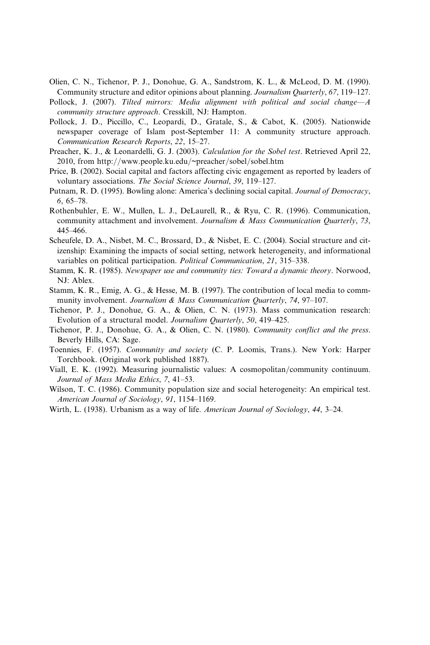- Olien, C. N., Tichenor, P. J., Donohue, G. A., Sandstrom, K. L., & McLeod, D. M. (1990). Community structure and editor opinions about planning. Journalism Quarterly, 67, 119–127.
- Pollock, J. (2007). Tilted mirrors: Media alignment with political and social change—A community structure approach. Cresskill, NJ: Hampton.
- Pollock, J. D., Piccillo, C., Leopardi, D., Gratale, S., & Cabot, K. (2005). Nationwide newspaper coverage of Islam post-September 11: A community structure approach. Communication Research Reports, 22, 15–27.
- Preacher, K. J., & Leonardelli, G. J. (2003). Calculation for the Sobel test. Retrieved April 22, 2010, from http://www.people.ku.edu/~preacher/sobel/sobel.htm
- Price, B. (2002). Social capital and factors affecting civic engagement as reported by leaders of voluntary associations. The Social Science Journal, 39, 119–127.
- Putnam, R. D. (1995). Bowling alone: America's declining social capital. Journal of Democracy, 6, 65–78.
- Rothenbuhler, E. W., Mullen, L. J., DeLaurell, R., & Ryu, C. R. (1996). Communication, community attachment and involvement. Journalism & Mass Communication Quarterly, 73, 445–466.
- Scheufele, D. A., Nisbet, M. C., Brossard, D., & Nisbet, E. C. (2004). Social structure and citizenship: Examining the impacts of social setting, network heterogeneity, and informational variables on political participation. Political Communication, 21, 315–338.
- Stamm, K. R. (1985). Newspaper use and community ties: Toward a dynamic theory. Norwood, NJ: Ablex.
- Stamm, K. R., Emig, A. G., & Hesse, M. B. (1997). The contribution of local media to commmunity involvement. Journalism & Mass Communication Quarterly, 74, 97-107.
- Tichenor, P. J., Donohue, G. A., & Olien, C. N. (1973). Mass communication research: Evolution of a structural model. Journalism Quarterly, 50, 419–425.
- Tichenor, P. J., Donohue, G. A., & Olien, C. N. (1980). Community conflict and the press. Beverly Hills, CA: Sage.
- Toennies, F. (1957). Community and society (C. P. Loomis, Trans.). New York: Harper Torchbook. (Original work published 1887).
- Viall, E. K. (1992). Measuring journalistic values: A cosmopolitan/community continuum. Journal of Mass Media Ethics, 7, 41–53.
- Wilson, T. C. (1986). Community population size and social heterogeneity: An empirical test. American Journal of Sociology, 91, 1154–1169.
- Wirth, L. (1938). Urbanism as a way of life. American Journal of Sociology, 44, 3–24.